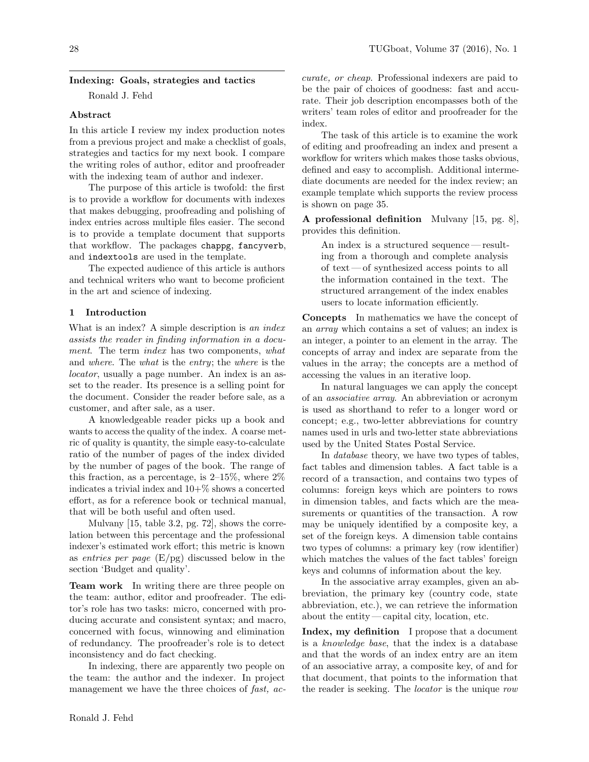## Indexing: Goals, strategies and tactics

Ronald J. Fehd

### Abstract

In this article I review my index production notes from a previous project and make a checklist of goals, strategies and tactics for my next book. I compare the writing roles of author, editor and proofreader with the indexing team of author and indexer.

The purpose of this article is twofold: the first is to provide a workflow for documents with indexes that makes debugging, proofreading and polishing of index entries across multiple files easier. The second is to provide a template document that supports that workflow. The packages chappg, fancyverb, and indextools are used in the template.

The expected audience of this article is authors and technical writers who want to become proficient in the art and science of indexing.

## 1 Introduction

What is an index? A simple description is an index assists the reader in finding information in a document. The term *index* has two components, what and where. The what is the entry; the where is the locator, usually a page number. An index is an asset to the reader. Its presence is a selling point for the document. Consider the reader before sale, as a customer, and after sale, as a user.

A knowledgeable reader picks up a book and wants to access the quality of the index. A coarse metric of quality is quantity, the simple easy-to-calculate ratio of the number of pages of the index divided by the number of pages of the book. The range of this fraction, as a percentage, is  $2\n-15\%$ , where  $2\%$ indicates a trivial index and  $10+\%$  shows a concerted effort, as for a reference book or technical manual, that will be both useful and often used.

Mulvany [\[15,](#page-8-0) table 3.2, pg. 72], shows the correlation between this percentage and the professional indexer's estimated work effort; this metric is known as entries per page  $(E/\text{pg})$  discussed below in the section ['Budget and quality'](#page-3-0).

Team work In writing there are three people on the team: author, editor and proofreader. The editor's role has two tasks: micro, concerned with producing accurate and consistent syntax; and macro, concerned with focus, winnowing and elimination of redundancy. The proofreader's role is to detect inconsistency and do fact checking.

In indexing, there are apparently two people on the team: the author and the indexer. In [project](https://en.wikipedia.org/wiki/Project_management_triangle) [management](https://en.wikipedia.org/wiki/Project_management_triangle) we have the three choices of fast, ac-

curate, or cheap. Professional indexers are paid to be the pair of choices of goodness: fast and accurate. Their job description encompasses both of the writers' team roles of editor and proofreader for the index.

The task of this article is to examine the work of editing and proofreading an index and present a workflow for writers which makes those tasks obvious, defined and easy to accomplish. Additional intermediate documents are needed for the index review; an example template which supports the review process is shown on page [35.](#page-7-0)

A professional definition Mulvany [\[15,](#page-8-0) pg. 8], provides this definition.

An index is a structured sequence— resulting from a thorough and complete analysis of text— of synthesized access points to all the information contained in the text. The structured arrangement of the index enables users to locate information efficiently.

Concepts In mathematics we have the concept of an array which contains a set of values; an index is an integer, a pointer to an element in the array. The concepts of array and index are separate from the values in the array; the concepts are a method of accessing the values in an iterative loop.

In natural languages we can apply the concept of an associative array. An abbreviation or acronym is used as shorthand to refer to a longer word or concept; e.g., [two-letter abbreviations for country](https://www.iso.org/obp/ui/#search) [names](https://www.iso.org/obp/ui/#search) used in urls and two-letter state abbreviations used by the [United States](https://about.usps.com/who-we-are/postal-history/state-abbreviations.htm) Postal Service.

In database theory, we have two types of tables, fact tables and dimension tables. A fact table is a record of a transaction, and contains two types of columns: foreign keys which are pointers to rows in dimension tables, and facts which are the measurements or quantities of the transaction. A row may be uniquely identified by a composite key, a set of the foreign keys. A dimension table contains two types of columns: a primary key (row identifier) which matches the values of the fact tables' foreign keys and columns of information about the key.

In the associative array examples, given an abbreviation, the primary key (country code, state abbreviation, etc.), we can retrieve the information about the entity— capital city, location, etc.

Index, my definition I propose that a document is a knowledge base, that the index is a database and that the words of an index entry are an item of an associative array, a composite key, of and for that document, that points to the information that the reader is seeking. The *locator* is the unique row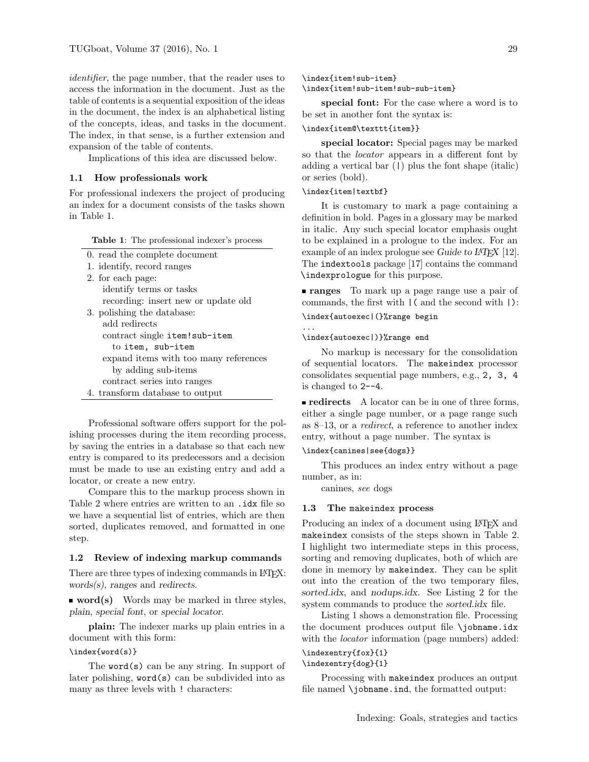identifier, the page number, that the reader uses to access the information in the document. Just as the table of contents is a sequential exposition of the ideas in the document, the index is an alphabetical listing of the concepts, ideas, and tasks in the document. The index, in that sense, is a further extension and expansion of the table of contents.

Implications of this idea are discussed below.

### 1.1 How professionals work

For professional indexers the project of producing an index for a document consists of the tasks shown in Table [1.](#page-1-0)

<span id="page-1-0"></span>

|  |  |  | <b>Table 1:</b> The professional indexer's process |  |  |
|--|--|--|----------------------------------------------------|--|--|
|--|--|--|----------------------------------------------------|--|--|

- 0. read the complete document
- 1. identify, record ranges
- 2. for each page: identify terms or tasks recording: insert new or update old 3. polishing the database: add redirects contract single item!sub-item to item, sub-item
	- expand items with too many references by adding sub-items
- contract series into ranges 4. transform database to output
- Professional software offers support for the polishing processes during the item recording process, by saving the entries in a database so that each new entry is compared to its predecessors and a decision must be made to use an existing entry and add a locator, or create a new entry.

Compare this to the markup process shown in Table [2](#page-2-0) where entries are written to an .idx file so we have a sequential list of entries, which are then sorted, duplicates removed, and formatted in one step.

### 1.2 Review of indexing markup commands

There are three types of indexing commands in LAT<sub>EX</sub>: words(s), ranges and redirects.

**word(s)** Words may be marked in three styles, plain, special font, or special locator.

plain: The indexer marks up plain entries in a document with this form:

### \index{word(s)}

The word(s) can be any string. In support of later polishing, word(s) can be subdivided into as many as three levels with ! characters:

\index{item!sub-item}

# \index{item!sub-item!sub-sub-item}

special font: For the case where a word is to be set in another font the syntax is:

#### \index{item@\texttt{item}}

special locator: Special pages may be marked so that the *locator* appears in a different font by adding a vertical bar (|) plus the font shape (italic) or series (bold).

### \index{item|textbf}

It is customary to mark a page containing a definition in bold. Pages in a glossary may be marked in italic. Any such special locator emphasis ought to be explained in a prologue to the index. For an example of an index prologue see Guide to LAT<sub>E</sub>X [\[12\]](#page-8-1). The indextools package [\[17\]](#page-8-2) contains the command \indexprologue for this purpose.

ranges To mark up a page range use a pair of commands, the first with |( and the second with |):

\index{autoexec|(}%range begin ...

\index{autoexec|)}%range end

No markup is necessary for the consolidation of sequential locators. The makeindex processor consolidates sequential page numbers, e.g., 2, 3, 4 is changed to 2--4.

redirects A locator can be in one of three forms, either a single page number, or a page range such as 8–13, or a redirect, a reference to another index entry, without a page number. The syntax is

### \index{canines|see{dogs}}

This produces an index entry without a page number, as in:

canines, see dogs

### 1.3 The makeindex process

Producing an index of a document using LAT<sub>EX</sub> and makeindex consists of the steps shown in Table [2.](#page-2-0) I highlight two intermediate steps in this process, sorting and removing duplicates, both of which are done in memory by makeindex. They can be split out into the creation of the two temporary files, sorted.idx, and nodups.idx. See Listing [2](#page-6-0) for the system commands to produce the *sorted.idx* file.

Listing [1](#page-2-1) shows a demonstration file. Processing the document produces output file \jobname.idx with the *locator* information (page numbers) added:

### \indexentry{fox}{1} \indexentry{dog}{1}

Processing with makeindex produces an output file named \jobname.ind, the formatted output: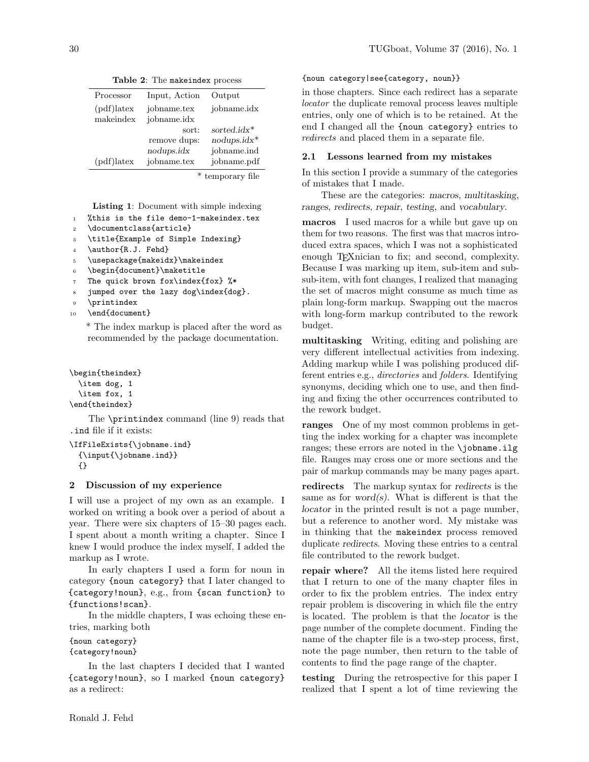| Processor           | Input, Action | Output          |
|---------------------|---------------|-----------------|
| $\text{pdf})$ latex | jobname.tex   | jobname.idx     |
| makeindex           | jobname.idx   |                 |
|                     | sort:         | sorted. $idx^*$ |
|                     | remove dups:  | $nodups.idx^*$  |
|                     | nodups.idx    | jobname.ind     |
| $(pdf)$ latex       | jobname.tex   | jobname.pdf     |
|                     | . ب           | $\sim$          |

<span id="page-2-0"></span>Table 2: The makeindex process

\* temporary file

<span id="page-2-1"></span>Listing 1: Document with simple indexing

- <sup>1</sup> %this is the file demo-1-makeindex.tex
- <sup>2</sup> \documentclass{article}
- <sup>3</sup> \title{Example of Simple Indexing}
- 4 \author{R.J. Fehd}
- <sup>5</sup> \usepackage{makeidx}\makeindex
- <sup>6</sup> \begin{document}\maketitle
- <sup>7</sup> The quick brown fox\index{fox} %\*
- <sup>8</sup> jumped over the lazy dog\index{dog}.
- 9 \printindex
- 10 \end{document}

\* The index markup is placed after the word as recommended by the package documentation.

\begin{theindex} \item dog, 1 \item fox, 1

\end{theindex}

The \printindex command (line 9) reads that .ind file if it exists:

```
\IfFileExists{\jobname.ind}
 {\hbox{\sf {\i}}\{}
```
## 2 Discussion of my experience

I will use a project of my own as an example. I worked on writing a book over a period of about a year. There were six chapters of 15–30 pages each. I spent about a month writing a chapter. Since I knew I would produce the index myself, I added the markup as I wrote.

In early chapters I used a form for noun in category {noun category} that I later changed to {category!noun}, e.g., from {scan function} to {functions!scan}.

In the middle chapters, I was echoing these entries, marking both

```
{noun category}
{category!noun}
```
In the last chapters I decided that I wanted {category!noun}, so I marked {noun category} as a redirect:

## {noun category|see{category, noun}}

in those chapters. Since each redirect has a separate locator the duplicate removal process leaves multiple entries, only one of which is to be retained. At the end I changed all the {noun category} entries to redirects and placed them in a separate file.

## 2.1 Lessons learned from my mistakes

In this section I provide a summary of the categories of mistakes that I made.

These are the categories: macros, multitasking, ranges, redirects, repair, testing, and vocabulary.

macros I used macros for a while but gave up on them for two reasons. The first was that macros introduced extra spaces, which I was not a sophisticated enough T<sub>E</sub>Xnician to fix; and second, complexity. Because I was marking up item, sub-item and subsub-item, with font changes, I realized that managing the set of macros might consume as much time as plain long-form markup. Swapping out the macros with long-form markup contributed to the rework budget.

multitasking Writing, editing and polishing are very different intellectual activities from indexing. Adding markup while I was polishing produced different entries e.g., directories and folders. Identifying synonyms, deciding which one to use, and then finding and fixing the other occurrences contributed to the rework budget.

ranges One of my most common problems in getting the index working for a chapter was incomplete ranges; these errors are noted in the \jobname.ilg file. Ranges may cross one or more sections and the pair of markup commands may be many pages apart.

redirects The markup syntax for redirects is the same as for word $(s)$ . What is different is that the locator in the printed result is not a page number, but a reference to another word. My mistake was in thinking that the makeindex process removed duplicate redirects. Moving these entries to a central file contributed to the rework budget.

repair where? All the items listed here required that I return to one of the many chapter files in order to fix the problem entries. The index entry repair problem is discovering in which file the entry is located. The problem is that the locator is the page number of the complete document. Finding the name of the chapter file is a two-step process, first, note the page number, then return to the table of contents to find the page range of the chapter.

testing During the retrospective for this paper I realized that I spent a lot of time reviewing the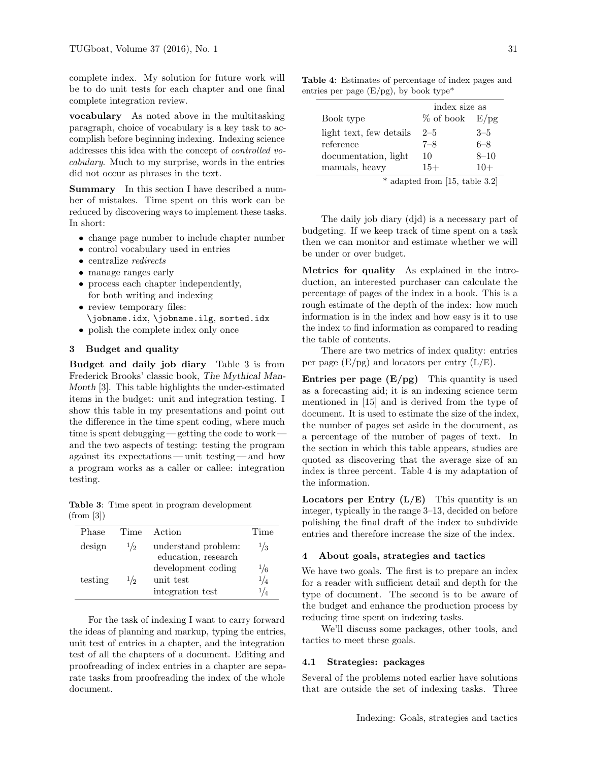complete index. My solution for future work will be to do unit tests for each chapter and one final complete integration review.

vocabulary As noted above in the multitasking paragraph, choice of vocabulary is a key task to accomplish before beginning indexing. Indexing science addresses this idea with the concept of controlled vocabulary. Much to my surprise, words in the entries did not occur as phrases in the text.

Summary In this section I have described a number of mistakes. Time spent on this work can be reduced by discovering ways to implement these tasks. In short:

- change page number to include chapter number
- control vocabulary used in entries
- centralize *redirects*
- manage ranges early
- process each chapter independently, for both writing and indexing
- review temporary files: \jobname.idx, \jobname.ilg, sorted.idx
- polish the complete index only once

# <span id="page-3-0"></span>3 Budget and quality

Budget and daily job diary Table [3](#page-3-1) is from Frederick Brooks' classic book, The Mythical Man-Month [\[3\]](#page-7-1). This table highlights the under-estimated items in the budget: unit and integration testing. I show this table in my presentations and point out the difference in the time spent coding, where much time is spent debugging — getting the code to work and the two aspects of testing: testing the program against its expectations— unit testing— and how a program works as a caller or callee: integration testing.

<span id="page-3-1"></span>Table 3: Time spent in program development (from [\[3\]](#page-7-1))

| Phase   | Time          | Action                                              | Time                                       |
|---------|---------------|-----------------------------------------------------|--------------------------------------------|
| design  | $\frac{1}{2}$ | understand problem:<br>education, research          | $\frac{1}{3}$                              |
| testing | 1/2           | development coding<br>unit test<br>integration test | $\frac{1}{6}$<br>$^{1/4}$<br>$\frac{1}{4}$ |

For the task of indexing I want to carry forward the ideas of planning and markup, typing the entries, unit test of entries in a chapter, and the integration test of all the chapters of a document. Editing and proofreading of index entries in a chapter are separate tasks from proofreading the index of the whole document.

Table 4: Estimates of percentage of index pages and entries per page  $(E/pg)$ , by book type<sup>\*</sup>

<span id="page-3-2"></span>

|                                  | index size as      |          |
|----------------------------------|--------------------|----------|
| Book type                        | $%$ of book $E/pg$ |          |
| light text, few details          | $2 - 5$            | $3 - 5$  |
| reference                        | $7 - 8$            | $6 - 8$  |
| documentation, light             | 10                 | $8 - 10$ |
| manuals, heavy                   | $15+$              | $10+$    |
| $*$ adapted from [15, table 3.2] |                    |          |

The daily job diary (djd) is a necessary part of budgeting. If we keep track of time spent on a task then we can monitor and estimate whether we will be under or over budget.

Metrics for quality As explained in the introduction, an interested purchaser can calculate the percentage of pages of the index in a book. This is a rough estimate of the depth of the index: how much information is in the index and how easy is it to use the index to find information as compared to reading the table of contents.

There are two metrics of index quality: entries per page  $(E/pg)$  and locators per entry  $(L/E)$ .

**Entries per page**  $(E/pg)$  This quantity is used as a forecasting aid; it is an indexing science term mentioned in [\[15\]](#page-8-0) and is derived from the type of document. It is used to estimate the size of the index, the number of pages set aside in the document, as a percentage of the number of pages of text. In the section in which this table appears, studies are quoted as discovering that the average size of an index is three percent. Table [4](#page-3-2) is my adaptation of the information.

**Locators per Entry**  $(L/E)$  This quantity is an integer, typically in the range 3–13, decided on before polishing the final draft of the index to subdivide entries and therefore increase the size of the index.

## 4 About goals, strategies and tactics

We have two goals. The first is to prepare an index for a reader with sufficient detail and depth for the type of document. The second is to be aware of the budget and enhance the production process by reducing time spent on indexing tasks.

We'll discuss some packages, other tools, and tactics to meet these goals.

#### 4.1 Strategies: packages

Several of the problems noted earlier have solutions that are outside the set of indexing tasks. Three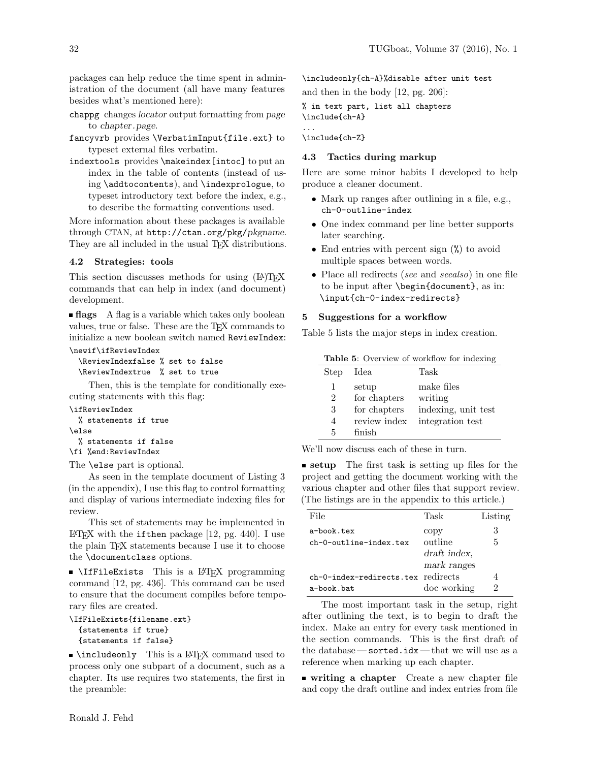packages can help reduce the time spent in administration of the document (all have many features besides what's mentioned here):

chappg changes locator output formatting from page to chapter.page.

fancyvrb provides \VerbatimInput{file.ext} to typeset external files verbatim.

indextools provides \makeindex[intoc] to put an index in the table of contents (instead of using \addtocontents), and \indexprologue, to typeset introductory text before the index, e.g., to describe the formatting conventions used.

More information about these packages is available through CTAN, at <http://ctan.org/pkg/>pkgname. They are all included in the usual T<sub>EX</sub> distributions.

### 4.2 Strategies: tools

This section discusses methods for using (LA)T<sub>EX</sub> commands that can help in index (and document) development.

**flags** A flag is a variable which takes only boolean values, true or false. These are the TEX commands to initialize a new boolean switch named ReviewIndex:

```
\newif\ifReviewIndex
  \ReviewIndexfalse % set to false
  \ReviewIndextrue % set to true
```
Then, this is the template for conditionally executing statements with this flag:

\ifReviewIndex

```
% statements if true
\else
 % statements if false
\fi %end:ReviewIndex
```
The \else part is optional.

As seen in the template document of Listing [3](#page-7-0) (in the appendix), I use this flag to control formatting and display of various intermediate indexing files for review.

This set of statements may be implemented in LATEX with the if then package  $[12, pg. 440]$  $[12, pg. 440]$ . I use the plain TEX statements because I use it to choose the \documentclass options.

\IfFileExists This is a LATEX programming command [\[12,](#page-8-1) pg. 436]. This command can be used to ensure that the document compiles before temporary files are created.

```
\IfFileExists{filename.ext}
  {statements if true}
  {statements if false}
```
**Number 1** \includeonly This is a LATEX command used to process only one subpart of a document, such as a chapter. Its use requires two statements, the first in the preamble:

\includeonly{ch-A}%disable after unit test and then in the body [\[12,](#page-8-1) pg. 206]:

% in text part, list all chapters \include{ch-A}

\include{ch-Z}

...

## 4.3 Tactics during markup

Here are some minor habits I developed to help produce a cleaner document.

- Mark up ranges after outlining in a file, e.g., ch-0-outline-index
- One index command per line better supports later searching.
- End entries with percent sign  $(\%)$  to avoid multiple spaces between words.
- Place all redirects (see and seealso) in one file to be input after \begin{document}, as in: \input{ch-0-index-redirects}

## 5 Suggestions for a workflow

Table [5](#page-4-0) lists the major steps in index creation.

<span id="page-4-0"></span>

| <b>Table 5:</b> Overview of workflow for indexing |              |                     |  |
|---------------------------------------------------|--------------|---------------------|--|
| Step                                              | Idea         | Task                |  |
| 1                                                 | setup        | make files          |  |
| $\mathfrak{D}$                                    | for chapters | writing             |  |
| 3                                                 | for chapters | indexing, unit test |  |
| 4                                                 | review index | integration test    |  |
| 5                                                 | finish       |                     |  |

We'll now discuss each of these in turn.

**setup** The first task is setting up files for the project and getting the document working with the various chapter and other files that support review. (The listings are in the appendix to this article.)

| File                               | Task         | Listing |
|------------------------------------|--------------|---------|
| a-book.tex                         | copy         | 3       |
| $ch-O$ - $outline$ ine-index $t$   | outline      | 5       |
|                                    | draft index. |         |
|                                    | mark ranges  |         |
| ch-0-index-redirects.tex redirects |              |         |
| a-book.bat                         | doc working  | 2       |

The most important task in the setup, right after outlining the text, is to begin to draft the index. Make an entry for every task mentioned in the section commands. This is the first draft of the database— sorted.idx— that we will use as a reference when marking up each chapter.

writing a chapter Create a new chapter file and copy the draft outline and index entries from file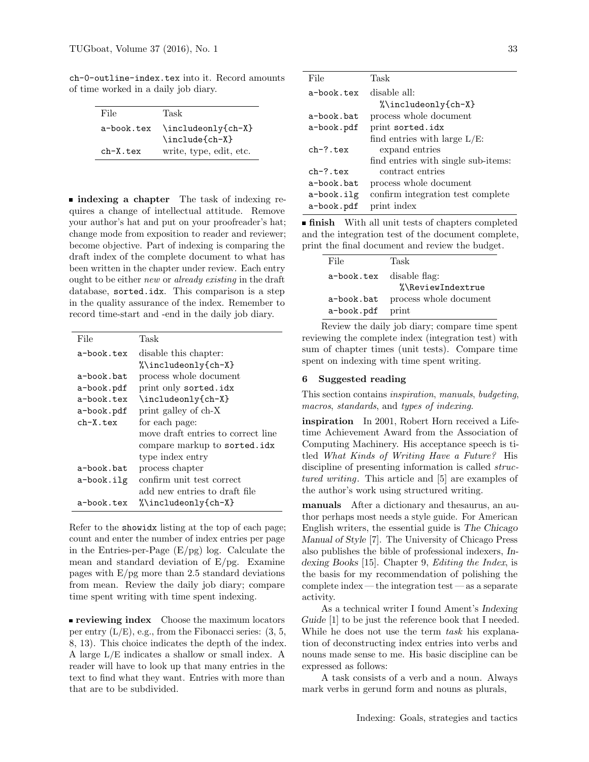ch-0-outline-index.tex into it. Record amounts of time worked in a daily job diary.

| File       | Task                    |
|------------|-------------------------|
| a-book.tex | \includeonly{ch-X}      |
|            | \include{ch-X}          |
| $ch-X.tex$ | write, type, edit, etc. |

**n** indexing a chapter The task of indexing requires a change of intellectual attitude. Remove your author's hat and put on your proofreader's hat; change mode from exposition to reader and reviewer; become objective. Part of indexing is comparing the draft index of the complete document to what has been written in the chapter under review. Each entry ought to be either new or already existing in the draft database, sorted.idx. This comparison is a step in the quality assurance of the index. Remember to record time-start and -end in the daily job diary.

| File       | Task                               |
|------------|------------------------------------|
| a-book.tex | disable this chapter:              |
|            | %\includeonly{ch-X}                |
| a-book.bat | process whole document             |
| a-book.pdf | print only sorted.idx              |
| a-book.tex | \includeonly{ch-X}                 |
| a-book.pdf | print galley of ch-X               |
| $ch-X.tex$ | for each page:                     |
|            | move draft entries to correct line |
|            | compare markup to sorted.idx       |
|            | type index entry                   |
| a-book.bat | process chapter                    |
| a-book.ilg | confirm unit test correct          |
|            | add new entries to draft file      |
| a-book.tex | %\includeonly{ch-X}                |

Refer to the showidx listing at the top of each page; count and enter the number of index entries per page in the Entries-per-Page  $(E/pg)$  log. Calculate the mean and standard deviation of  $E/pg$ . Examine pages with  $E/pg$  more than 2.5 standard deviations from mean. Review the daily job diary; compare time spent writing with time spent indexing.

**reviewing index** Choose the maximum locators per entry  $(L/E)$ , e.g., from the Fibonacci series:  $(3, 5, 5)$ 8, 13). This choice indicates the depth of the index. A large L/E indicates a shallow or small index. A reader will have to look up that many entries in the text to find what they want. Entries with more than that are to be subdivided.

| File         | Task                                |
|--------------|-------------------------------------|
| a-book tex   | disable all:                        |
|              | %\includeonly{ch-X}                 |
| a-book.bat   | process whole document              |
| a-book.pdf   | print sorted.idx                    |
|              | find entries with large $L/E$ :     |
| $ch-? .$ tex | expand entries                      |
|              | find entries with single sub-items: |
| $ch-? .$ tex | contract entries                    |
| a-book.bat   | process whole document              |
| a-book.ilg   | confirm integration test complete   |
| a-book.pdf   | print index                         |

**finish** With all unit tests of chapters completed and the integration test of the document complete, print the final document and review the budget.

| File                     | Task                   |
|--------------------------|------------------------|
| a-book.tex disable flag: |                        |
|                          | %\ReviewIndextrue      |
| a-book.bat               | process whole document |
| a-book.pdf               | print                  |

Review the daily job diary; compare time spent reviewing the complete index (integration test) with sum of chapter times (unit tests). Compare time spent on indexing with time spent writing.

## 6 Suggested reading

This section contains inspiration, manuals, budgeting, macros, standards, and types of indexing.

inspiration In 2001, [Robert Horn](http://web.stanford.edu/~rhorn/a/site/HornCV.html) received a Lifetime Achievement Award from the Association of Computing Machinery. His acceptance speech is titled [What Kinds of Writing Have a Future?](http://web.stanford.edu/~rhorn/a/recent/SpchSIGDOC.html) His discipline of presenting information is called *struc*[tured writing](http://rhetcomp.gsu.edu/~gpullman/8123/handouts/structured%20writing.pdf). This article and [\[5\]](#page-8-3) are examples of the author's work using structured writing.

manuals After a dictionary and thesaurus, an author perhaps most needs a style guide. For American English writers, the essential guide is [The Chicago](http://www.chicagomanualofstyle.org/15/contents.html) [Manual of Style](http://www.chicagomanualofstyle.org/15/contents.html) [\[7\]](#page-8-4). The University of Chicago Press also publishes the bible of professional indexers, Indexing Books [\[15\]](#page-8-0). Chapter 9, Editing the Index, is the basis for my recommendation of polishing the complete index — the integration test — as a separate activity.

As a technical writer I found Ament's Indexing Guide [\[1\]](#page-7-4) to be just the reference book that I needed. While he does not use the term task his explanation of deconstructing index entries into verbs and nouns made sense to me. His basic discipline can be expressed as follows:

A task consists of a verb and a noun. Always mark verbs in gerund form and nouns as plurals,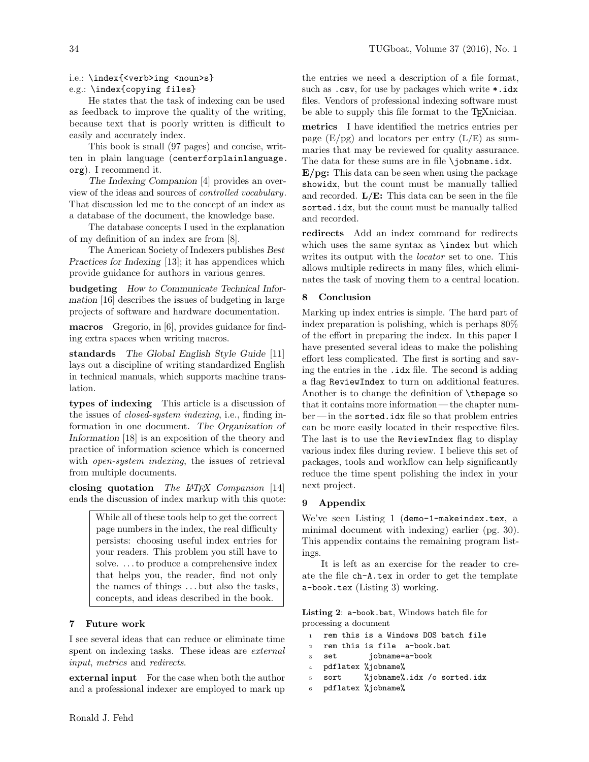## i.e.: \index{<verb>ing <noun>s}

# e.g.: \index{copying files}

He states that the task of indexing can be used as feedback to improve the quality of the writing, because text that is poorly written is difficult to easily and accurately index.

This book is small (97 pages) and concise, written in plain language ([centerforplainlanguage.](centerforplainlanguage.org) [org](centerforplainlanguage.org)). I recommend it.

The Indexing Companion [\[4\]](#page-8-5) provides an overview of the ideas and sources of [controlled vocabulary](https://en.wikipedia.org/wiki/Controlled_vocabulary). That discussion led me to the concept of an index as a database of the document, the knowledge base.

The database concepts I used in the explanation of my definition of an index are from [\[8\]](#page-8-6).

The American Society of Indexers publishes Best Practices for Indexing [\[13\]](#page-8-7); it has appendices which provide guidance for authors in various genres.

budgeting How to Communicate Technical Information [\[16\]](#page-8-8) describes the issues of budgeting in large projects of software and hardware documentation.

macros Gregorio, in [\[6\]](#page-8-9), provides guidance for finding extra spaces when writing macros.

standards The Global English Style Guide [\[11\]](#page-8-10) lays out a discipline of writing standardized English in technical manuals, which supports machine translation.

types of indexing This article is a discussion of the issues of closed-system indexing, i.e., finding information in one document. The Organization of Information [\[18\]](#page-8-11) is an exposition of the theory and practice of information science which is concerned with *open-system indexing*, the issues of retrieval from multiple documents.

closing quotation The IATEX Companion  $[14]$ ends the discussion of index markup with this quote:

> While all of these tools help to get the correct page numbers in the index, the real difficulty persists: choosing useful index entries for your readers. This problem you still have to solve. . . . to produce a comprehensive index that helps you, the reader, find not only the names of things . . . but also the tasks, concepts, and ideas described in the book.

## 7 Future work

I see several ideas that can reduce or eliminate time spent on indexing tasks. These ideas are external input, metrics and redirects.

external input For the case when both the author and a professional indexer are employed to mark up the entries we need a description of a file format, such as .csv, for use by packages which write \*.idx files. Vendors of professional indexing software must be able to supply this file format to the T<sub>E</sub>Xnician.

metrics I have identified the metrics entries per page  $(E/pg)$  and locators per entry  $(L/E)$  as summaries that may be reviewed for quality assurance. The data for these sums are in file \jobname.idx.

 $E/pg$ : This data can be seen when using the package showidx, but the count must be manually tallied and recorded.  $L/E$ : This data can be seen in the file sorted.idx, but the count must be manually tallied and recorded.

redirects Add an index command for redirects which uses the same syntax as \index but which writes its output with the *locator* set to one. This allows multiple redirects in many files, which eliminates the task of moving them to a central location.

## 8 Conclusion

Marking up index entries is simple. The hard part of index preparation is polishing, which is perhaps 80% of the effort in preparing the index. In this paper I have presented several ideas to make the polishing effort less complicated. The first is sorting and saving the entries in the .idx file. The second is adding a flag ReviewIndex to turn on additional features. Another is to change the definition of \thepage so that it contains more information — the chapter num $ber$ — in the sorted.idx file so that problem entries can be more easily located in their respective files. The last is to use the ReviewIndex flag to display various index files during review. I believe this set of packages, tools and workflow can help significantly reduce the time spent polishing the index in your next project.

## 9 Appendix

We've seen Listing 1 (demo-1-makeindex.tex, a minimal document with indexing) earlier (pg. [30\)](#page-2-1). This appendix contains the remaining program listings.

It is left as an exercise for the reader to create the file ch-A.tex in order to get the template a-book.tex (Listing [3\)](#page-7-0) working.

<span id="page-6-0"></span>Listing 2: a-book.bat, Windows batch file for processing a document

- 1 rem this is a Windows DOS batch file
- <sup>2</sup> rem this is file a-book.bat
- <sup>3</sup> set jobname=a-book
- <sup>4</sup> pdflatex %jobname%
- <sup>5</sup> sort %jobname%.idx /o sorted.idx
- pdflatex %jobname%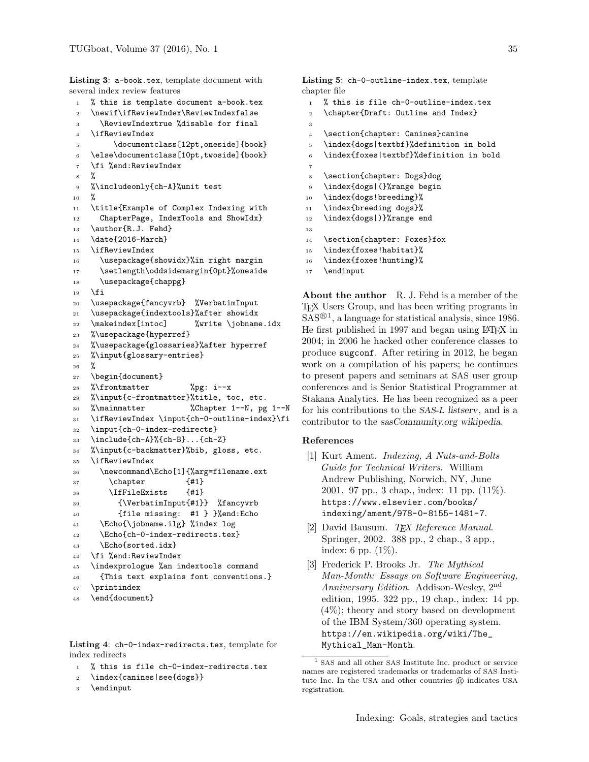<span id="page-7-0"></span>Listing 3: a-book.tex, template document with several index review features

```
1 % this is template document a-book.tex
2 \newif\ifReviewIndex\ReviewIndexfalse
3 \ReviewIndextrue %disable for final
4 \ifReviewIndex
5 \documentclass[12pt,oneside]{book}
6 \else\documentclass[10pt,twoside]{book}
7 \fi %end:ReviewIndex
8 %
9 %\includeonly{ch-A}%unit test
10 %
11 \title{Example of Complex Indexing with
12 ChapterPage, IndexTools and ShowIdx}
13 \author{R.J. Fehd}
14 \date{2016-March}
15 \ifReviewIndex
16 \usepackage{showidx}%in right margin
17 \setlength\oddsidemargin{0pt}%oneside
18 \usepackage{chappg}
19 \fi
20 \usepackage{fancyvrb} %VerbatimInput
21 \usepackage{indextools}%after showidx
22 \makeindex[intoc] %write \jobname.idx
23 %\usepackage{hyperref}
24 %\usepackage{glossaries}%after hyperref
25 %\input{glossary-entries}
26 %
27 \begin{document}
28 %\frontmatter %pg: i--x
29 %\input{c-frontmatter}%title, toc, etc.
30 %\mainmatter %Chapter 1--N, pg 1--N
31 \ifReviewIndex \input{ch-0-outline-index}\fi
32 \input{ch-0-index-redirects}
33 \include{ch-A}%{ch-B}...{ch-Z}
34 %\input{c-backmatter}%bib, gloss, etc.
35 \ifReviewIndex
36 \newcommand\Echo[1]{%arg=filename.ext
37 \chapter {#1}38 \IfFileExists {#1}
39 {\VerbatimInput{#1}} %fancyvrb
40 {file missing: #1 } }%end:Echo
41 \Echo{\jobname.ilg} %index log
42 \Echo{ch-0-index-redirects.tex}
43 \Echo{sorted.idx}
44 \fi %end:ReviewIndex
45 \indexprologue %an indextools command
46 {This text explains font conventions.}
47 \printindex
48 \end{document}
```
<span id="page-7-3"></span>Listing 4: ch-0-index-redirects.tex, template for index redirects

<sup>1</sup> % this is file ch-0-index-redirects.tex

```
2 \index{canines|see{dogs}}
```

```
3 \endinput
```
<span id="page-7-2"></span>Listing 5: ch-0-outline-index.tex, template chapter file

- <sup>1</sup> % this is file ch-0-outline-index.tex
- <sup>2</sup> \chapter{Draft: Outline and Index}
- 3
- <sup>4</sup> \section{chapter: Canines}canine
- <sup>5</sup> \index{dogs|textbf}%definition in bold
- <sup>6</sup> \index{foxes|textbf}%definition in bold
- 7 <sup>8</sup> \section{chapter: Dogs}dog
- <sup>9</sup> \index{dogs|(}%range begin
- <sup>10</sup> \index{dogs!breeding}%
- <sup>11</sup> \index{breeding dogs}%
- <sup>12</sup> \index{dogs|)}%range end
- 13
- <sup>14</sup> \section{chapter: Foxes}fox
- 15 \index{foxes!habitat}%
- 16 \index{foxes!hunting}%
- 17 \endinput

About the author R. J. Fehd is a member of the TEX Users Group, and has been writing programs in  $SAS^{(0)}$ , a language for statistical analysis, since [1](#page-7-5)986. He first published in 1997 and began using LATEX in 2004; in 2006 he hacked other conference classes to produce sugconf. After retiring in 2012, he began work on a compilation of his papers; he continues to present papers and seminars at SAS user group conferences and is Senior Statistical Programmer at [Stakana Analytics.](http://stakana.com/) He has been recognized as a peer for his contributions to the SAS-L [listserv](http://www.sascommunity.org/wiki/SAS-L), and is a contributor to the [sasCommunity.org wikipedia](http://www.sascommunity.org/wiki/Ronald_J._Fehd).

#### References

- <span id="page-7-4"></span>[1] Kurt Ament. Indexing, A Nuts-and-Bolts Guide for Technical Writers. William Andrew Publishing, Norwich, NY, June 2001. 97 pp., 3 chap., index: 11 pp. (11%). [https://www.elsevier.com/books/](https://www.elsevier.com/books/indexing/ament/978-0-8155-1481-7) [indexing/ament/978-0-8155-1481-7](https://www.elsevier.com/books/indexing/ament/978-0-8155-1481-7).
- [2] David Bausum. TEX Reference Manual. Springer, 2002. 388 pp., 2 chap., 3 app., index: 6 pp. (1%).
- <span id="page-7-1"></span>[3] Frederick P. Brooks Jr. The Mythical Man-Month: Essays on Software Engineering, Anniversary Edition. Addison-Wesley,  $2<sup>nd</sup>$ edition, 1995. 322 pp., 19 chap., index: 14 pp. (4%); theory and story based on development of the IBM System/360 operating system. [https://en.wikipedia.org/wiki/The\\_](https://en.wikipedia.org/wiki/The_Mythical_Man-Month) [Mythical\\_Man-Month](https://en.wikipedia.org/wiki/The_Mythical_Man-Month).

<span id="page-7-5"></span> $^{\rm 1}$  SAS and all other SAS Institute Inc. product or service names are registered trademarks or trademarks of SAS Institute Inc. In the USA and other countries  $(\widehat{R})$  indicates USA registration.